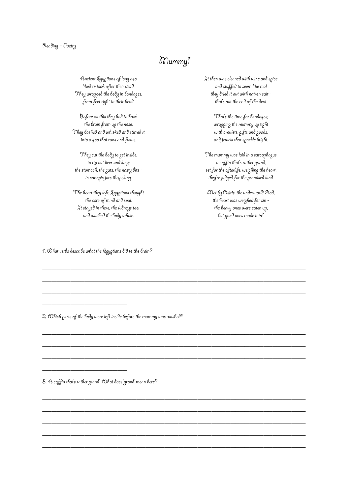### Reading – Poetry

## Mummy!

\_\_\_\_\_\_\_\_\_\_\_\_\_\_\_\_\_\_\_\_\_\_\_\_\_\_\_\_\_\_\_\_\_\_\_\_\_\_\_\_\_\_\_\_\_\_\_\_\_\_\_\_\_\_\_\_

\_\_\_\_\_\_\_\_\_\_\_\_\_\_\_\_\_\_\_\_\_\_\_\_\_\_\_\_\_\_\_\_\_\_\_\_\_\_\_\_\_\_\_\_\_\_\_\_\_\_\_\_\_\_\_\_

\_\_\_\_\_\_\_\_\_\_\_\_\_\_\_\_\_\_\_\_\_\_\_\_\_\_\_\_\_\_\_\_\_\_\_\_\_\_\_\_\_\_\_\_\_\_\_\_\_\_\_\_\_\_\_\_

\_\_\_\_\_\_\_\_\_\_\_\_\_\_\_\_\_\_\_\_\_\_\_\_\_\_\_\_\_\_\_\_\_\_\_\_\_\_\_\_\_\_\_\_\_\_\_\_\_\_\_\_\_\_\_\_

\_\_\_\_\_\_\_\_\_\_\_\_\_\_\_\_\_\_\_\_\_\_\_\_\_\_\_\_\_\_\_\_\_\_\_\_\_\_\_\_\_\_\_\_\_\_\_\_\_\_\_\_\_\_\_\_

\_\_\_\_\_\_\_\_\_\_\_\_\_\_\_\_\_\_\_\_\_\_\_\_\_\_\_\_\_\_\_\_\_\_\_\_\_\_\_\_\_\_\_\_\_\_\_\_\_\_\_\_\_\_\_\_

\_\_\_\_\_\_\_\_\_\_\_\_\_\_\_\_\_\_\_\_\_\_\_\_\_\_\_\_\_\_\_\_\_\_\_\_\_\_\_\_\_\_\_\_\_\_\_\_\_\_\_\_\_\_\_\_

\_\_\_\_\_\_\_\_\_\_\_\_\_\_\_\_\_\_\_\_\_\_\_\_\_\_\_\_\_\_\_\_\_\_\_\_\_\_\_\_\_\_\_\_\_\_\_\_\_\_\_\_\_\_\_\_

\_\_\_\_\_\_\_\_\_\_\_\_\_\_\_\_\_\_\_\_\_\_\_\_\_\_\_\_\_\_\_\_\_\_\_\_\_\_\_\_\_\_\_\_\_\_\_\_\_\_\_\_\_\_\_\_

\_\_\_\_\_\_\_\_\_\_\_\_\_\_\_\_\_\_\_\_\_\_\_\_\_\_\_\_\_\_\_\_\_\_\_\_\_\_\_\_\_\_\_\_\_\_\_\_\_\_\_\_\_\_\_\_

\_\_\_\_\_\_\_\_\_\_\_\_\_\_\_\_\_\_\_\_\_\_\_\_\_\_\_\_\_\_\_\_\_\_\_\_\_\_\_\_\_\_\_\_\_\_\_\_\_\_\_\_\_\_\_\_

Ancient Egyptians of long ago liked to look after their dead. They wrapped the body in bandages, from feet right to their head.

Before all this they had to hook the brain from up the nose. They bashed and whisked and stirred it into a goo that runs and flows.

They cut the body to get inside; to rip out liver and lung; the stomach, the guts; the nasty bits in canopic jars they slung.

The heart they left: Egyptians thought the core of mind and soul. It stayed in there, the kidneys too, and washed the body whole.

It then was cleaned with wine and spice and stuffed to seem like real they dried it out with natron salt that's not the end of the deal.

> That's the time for bandages; wrapping the mummy up tight with amulets, gifts and goods, and jewels that sparkle bright.

The mummy was laid in a sarcophagus: a coffin that's rather grand, set for the afterlife; weighing the heart; they're judged for the promised land.

Met by Osiris, the underworld God, the heart was weighed for sin the heavy ones were eaten up, but good ones made it in!

1. What verbs describe what the Egyptians did to the brain?

\_\_\_\_\_\_\_\_\_\_\_\_\_\_\_\_\_\_

\_\_\_\_\_\_\_\_\_\_\_\_\_\_\_\_\_\_

2. Which parts of the body were left inside before the mummy was washed?

3. 'A coffin that's rather grand'. What does 'grand' mean here?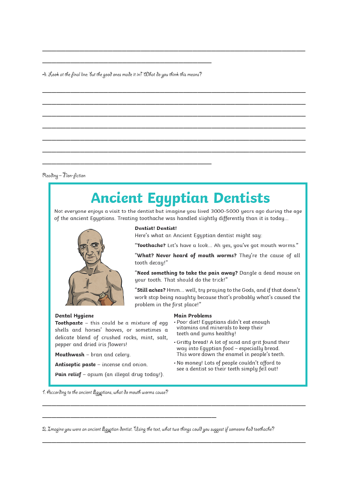4. Look at the final line: but the good ones made it in!" What do you think this means?

Reading - non-fiction

# **Ancient Egyptian Dentists**

Not everyone enjoys a visit to the dentist but imagine you lived 3000-5000 years ago during the age of the ancient Egyptians. Treating toothache was handled slightly differently than it is today...



### Dental Hygiene

**Toothpaste** - this could be a mixture of eqq shells and horses' hooves, or sometimes a delicate blend of crushed rocks, mint, salt, pepper and dried iris flowers!

Mouthwash - bran and celery.

Antiseptic paste - incense and onion.

Pain relief - opium (an illegal drug today!).

Dentist! Dentist!

Here's what an Ancient Egyptian dentist might say:

"Toothache? Let's have a look... Ah yes, you've got mouth worms."

"What? Never heard of mouth worms? They're the cause of all tooth decay!"

"Need something to take the pain away? Dangle a dead mouse on your tooth. That should do the trick!"

"Still aches? Hmm... well, try praying to the Gods, and if that doesn't work stop being naughty because that's probably what's caused the problem in the first place!"

#### Main Problems

- Poor diet! Egyptians didn't eat enough vitamins and minerals to keep their teeth and gums healthy!
- Gritty bread! A lot of sand and grit found their way into Egyptian food - especially bread. This wore down the enamel in people's teeth.
- . No money! Lots of people couldn't afford to see a dentist so their teeth simply fell out!

1. Occording to the ancient Egyptians, what do mouth worms cause?

2. Zmagine you were an ancient Egyptian dentist. Using the text, what two things could you suggest if someone had toothache?